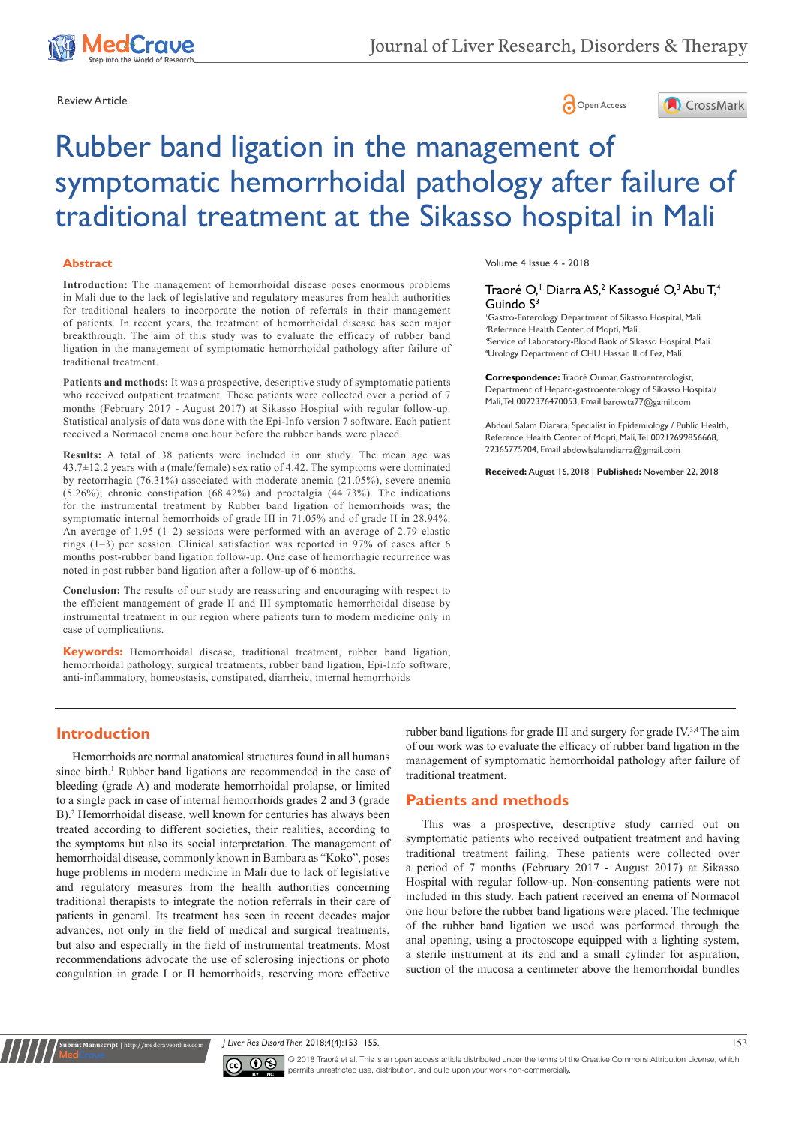





# Rubber band ligation in the management of symptomatic hemorrhoidal pathology after failure of traditional treatment at the Sikasso hospital in Mali

#### **Abstract**

**Introduction:** The management of hemorrhoidal disease poses enormous problems in Mali due to the lack of legislative and regulatory measures from health authorities for traditional healers to incorporate the notion of referrals in their management of patients. In recent years, the treatment of hemorrhoidal disease has seen major breakthrough. The aim of this study was to evaluate the efficacy of rubber band ligation in the management of symptomatic hemorrhoidal pathology after failure of traditional treatment.

**Patients and methods:** It was a prospective, descriptive study of symptomatic patients who received outpatient treatment. These patients were collected over a period of 7 months (February 2017 - August 2017) at Sikasso Hospital with regular follow-up. Statistical analysis of data was done with the Epi-Info version 7 software. Each patient received a Normacol enema one hour before the rubber bands were placed.

**Results:** A total of 38 patients were included in our study. The mean age was 43.7±12.2 years with a (male/female) sex ratio of 4.42. The symptoms were dominated by rectorrhagia (76.31%) associated with moderate anemia (21.05%), severe anemia (5.26%); chronic constipation (68.42%) and proctalgia (44.73%). The indications for the instrumental treatment by Rubber band ligation of hemorrhoids was; the symptomatic internal hemorrhoids of grade III in 71.05% and of grade II in 28.94%. An average of 1.95 (1–2) sessions were performed with an average of 2.79 elastic rings (1–3) per session. Clinical satisfaction was reported in 97% of cases after 6 months post-rubber band ligation follow-up. One case of hemorrhagic recurrence was noted in post rubber band ligation after a follow-up of 6 months.

**Conclusion:** The results of our study are reassuring and encouraging with respect to the efficient management of grade II and III symptomatic hemorrhoidal disease by instrumental treatment in our region where patients turn to modern medicine only in case of complications.

**Keywords:** Hemorrhoidal disease, traditional treatment, rubber band ligation, hemorrhoidal pathology, surgical treatments, rubber band ligation, Epi-Info software, anti-inflammatory, homeostasis, constipated, diarrheic, internal hemorrhoids

Volume 4 Issue 4 - 2018

### Traoré O,<sup>1</sup> Diarra AS,<sup>2</sup> Kassogué O,<sup>3</sup> Abu T,<sup>4</sup> Guindo S<sup>3</sup>

 Gastro-Enterology Department of Sikasso Hospital, Mali Reference Health Center of Mopti, Mali <sup>3</sup>Service of Laboratory-Blood Bank of Sikasso Hospital, Mali Urology Department of CHU Hassan II of Fez, Mali

**Correspondence:** Traoré Oumar, Gastroenterologist, Department of Hepato-gastroenterology of Sikasso Hospital/ Mali, Tel 0022376470053, Email barowta77@gamil.com

Abdoul Salam Diarara, Specialist in Epidemiology / Public Health, Reference Health Center of Mopti, Mali, Tel 00212699856668, 22365775204, Email abdowlsalamdiarra@gmail.com

**Received:** August 16, 2018 | **Published:** November 22, 2018

## **Introduction**

**it Manuscript** | http://medcraveonlin

Hemorrhoids are normal anatomical structures found in all humans since birth.<sup>1</sup> Rubber band ligations are recommended in the case of bleeding (grade A) and moderate hemorrhoidal prolapse, or limited to a single pack in case of internal hemorrhoids grades 2 and 3 (grade B).2 Hemorrhoidal disease, well known for centuries has always been treated according to different societies, their realities, according to the symptoms but also its social interpretation. The management of hemorrhoidal disease, commonly known in Bambara as "Koko", poses huge problems in modern medicine in Mali due to lack of legislative and regulatory measures from the health authorities concerning traditional therapists to integrate the notion referrals in their care of patients in general. Its treatment has seen in recent decades major advances, not only in the field of medical and surgical treatments, but also and especially in the field of instrumental treatments. Most recommendations advocate the use of sclerosing injections or photo coagulation in grade I or II hemorrhoids, reserving more effective rubber band ligations for grade III and surgery for grade IV.3,4 The aim of our work was to evaluate the efficacy of rubber band ligation in the management of symptomatic hemorrhoidal pathology after failure of traditional treatment.

## **Patients and methods**

This was a prospective, descriptive study carried out on symptomatic patients who received outpatient treatment and having traditional treatment failing. These patients were collected over a period of 7 months (February 2017 - August 2017) at Sikasso Hospital with regular follow-up. Non-consenting patients were not included in this study. Each patient received an enema of Normacol one hour before the rubber band ligations were placed. The technique of the rubber band ligation we used was performed through the anal opening, using a proctoscope equipped with a lighting system, a sterile instrument at its end and a small cylinder for aspiration, suction of the mucosa a centimeter above the hemorrhoidal bundles

*J* Liver Res Disord Ther. 2018;4(4):153–155. 153.



© 2018 Traoré et al. This is an open access article distributed under the terms of the [Creative Commons Attribution License,](https://creativecommons.org/licenses/by-nc/4.0/) which permits unrestricted use, distribution, and build upon your work non-commercially.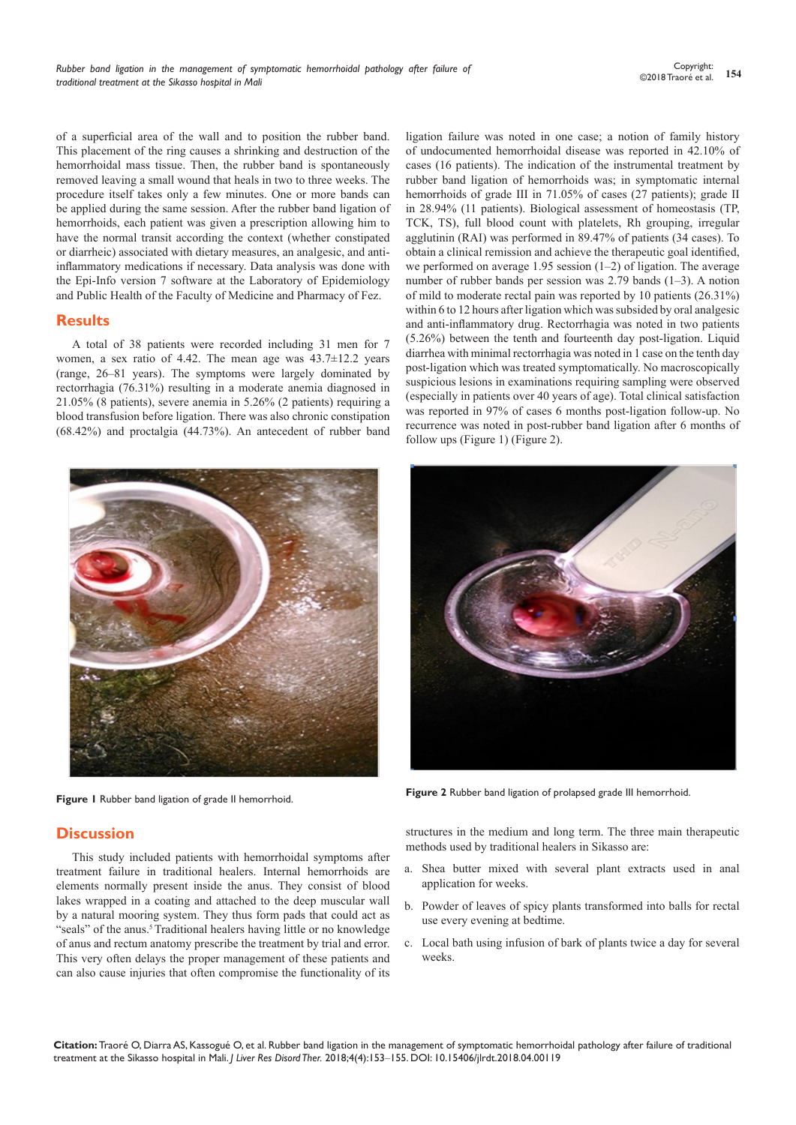of a superficial area of the wall and to position the rubber band. This placement of the ring causes a shrinking and destruction of the hemorrhoidal mass tissue. Then, the rubber band is spontaneously removed leaving a small wound that heals in two to three weeks. The procedure itself takes only a few minutes. One or more bands can be applied during the same session. After the rubber band ligation of hemorrhoids, each patient was given a prescription allowing him to have the normal transit according the context (whether constipated or diarrheic) associated with dietary measures, an analgesic, and antiinflammatory medications if necessary. Data analysis was done with the Epi-Info version 7 software at the Laboratory of Epidemiology and Public Health of the Faculty of Medicine and Pharmacy of Fez.

## **Results**

A total of 38 patients were recorded including 31 men for 7 women, a sex ratio of 4.42. The mean age was  $43.7\pm12.2$  years (range, 26–81 years). The symptoms were largely dominated by rectorrhagia (76.31%) resulting in a moderate anemia diagnosed in 21.05% (8 patients), severe anemia in 5.26% (2 patients) requiring a blood transfusion before ligation. There was also chronic constipation (68.42%) and proctalgia (44.73%). An antecedent of rubber band



# **Discussion**

This study included patients with hemorrhoidal symptoms after treatment failure in traditional healers. Internal hemorrhoids are elements normally present inside the anus. They consist of blood lakes wrapped in a coating and attached to the deep muscular wall by a natural mooring system. They thus form pads that could act as "seals" of the anus.<sup>5</sup> Traditional healers having little or no knowledge of anus and rectum anatomy prescribe the treatment by trial and error. This very often delays the proper management of these patients and can also cause injuries that often compromise the functionality of its ligation failure was noted in one case; a notion of family history of undocumented hemorrhoidal disease was reported in 42.10% of cases (16 patients). The indication of the instrumental treatment by rubber band ligation of hemorrhoids was; in symptomatic internal hemorrhoids of grade III in 71.05% of cases (27 patients); grade II in 28.94% (11 patients). Biological assessment of homeostasis (TP, TCK, TS), full blood count with platelets, Rh grouping, irregular agglutinin (RAI) was performed in 89.47% of patients (34 cases). To obtain a clinical remission and achieve the therapeutic goal identified, we performed on average 1.95 session (1–2) of ligation. The average number of rubber bands per session was 2.79 bands (1–3). A notion of mild to moderate rectal pain was reported by 10 patients (26.31%) within 6 to 12 hours after ligation which was subsided by oral analgesic and anti-inflammatory drug. Rectorrhagia was noted in two patients (5.26%) between the tenth and fourteenth day post-ligation. Liquid diarrhea with minimal rectorrhagia was noted in 1 case on the tenth day post-ligation which was treated symptomatically. No macroscopically suspicious lesions in examinations requiring sampling were observed (especially in patients over 40 years of age). Total clinical satisfaction was reported in 97% of cases 6 months post-ligation follow-up. No recurrence was noted in post-rubber band ligation after 6 months of follow ups (Figure 1) (Figure 2).



**Figure 1** Rubber band ligation of grade II hemorrhoid. **Figure 2** Rubber band ligation of prolapsed grade III hemorrhoid.

structures in the medium and long term. The three main therapeutic methods used by traditional healers in Sikasso are:

- a. Shea butter mixed with several plant extracts used in anal application for weeks.
- b. Powder of leaves of spicy plants transformed into balls for rectal use every evening at bedtime.
- c. Local bath using infusion of bark of plants twice a day for several weeks.

**Citation:** Traoré O, Diarra AS, Kassogué O, et al. Rubber band ligation in the management of symptomatic hemorrhoidal pathology after failure of traditional treatment at the Sikasso hospital in Mali. *J Liver Res Disord Ther.* 2018;4(4):153‒155. DOI: [10.15406/jlrdt.2018.04.00119](https://doi.org/10.15406/jlrdt.2018.04.00119)